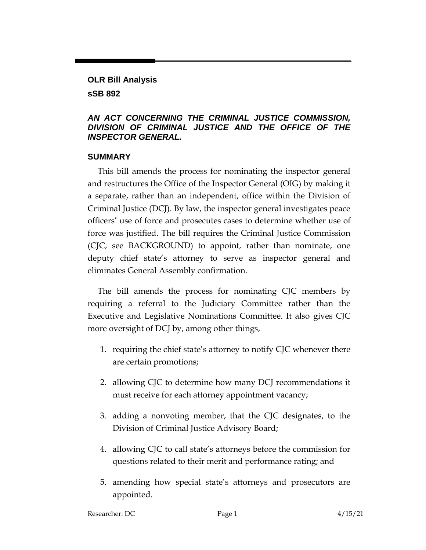# **OLR Bill Analysis sSB 892**

#### *AN ACT CONCERNING THE CRIMINAL JUSTICE COMMISSION, DIVISION OF CRIMINAL JUSTICE AND THE OFFICE OF THE INSPECTOR GENERAL.*

#### **SUMMARY**

This bill amends the process for nominating the inspector general and restructures the Office of the Inspector General (OIG) by making it a separate, rather than an independent, office within the Division of Criminal Justice (DCJ). By law, the inspector general investigates peace officers' use of force and prosecutes cases to determine whether use of force was justified. The bill requires the Criminal Justice Commission (CJC, see BACKGROUND) to appoint, rather than nominate, one deputy chief state's attorney to serve as inspector general and eliminates General Assembly confirmation.

The bill amends the process for nominating CJC members by requiring a referral to the Judiciary Committee rather than the Executive and Legislative Nominations Committee. It also gives CJC more oversight of DCJ by, among other things,

- 1. requiring the chief state's attorney to notify CJC whenever there are certain promotions;
- 2. allowing CJC to determine how many DCJ recommendations it must receive for each attorney appointment vacancy;
- 3. adding a nonvoting member, that the CJC designates, to the Division of Criminal Justice Advisory Board;
- 4. allowing CJC to call state's attorneys before the commission for questions related to their merit and performance rating; and
- 5. amending how special state's attorneys and prosecutors are appointed.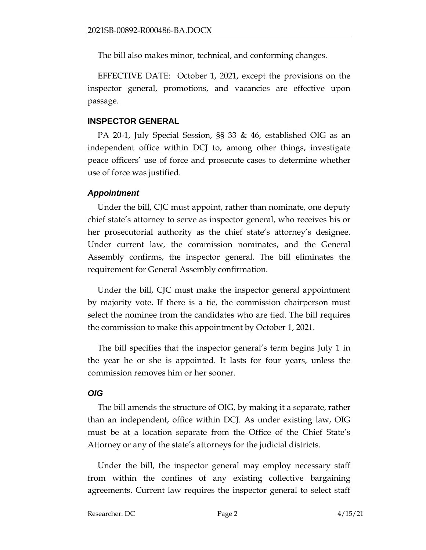The bill also makes minor, technical, and conforming changes.

EFFECTIVE DATE: October 1, 2021, except the provisions on the inspector general, promotions, and vacancies are effective upon passage.

#### **INSPECTOR GENERAL**

PA 20-1, July Special Session, §§ 33 & 46, established OIG as an independent office within DCJ to, among other things, investigate peace officers' use of force and prosecute cases to determine whether use of force was justified.

# *Appointment*

Under the bill, CJC must appoint, rather than nominate, one deputy chief state's attorney to serve as inspector general, who receives his or her prosecutorial authority as the chief state's attorney's designee. Under current law, the commission nominates, and the General Assembly confirms, the inspector general. The bill eliminates the requirement for General Assembly confirmation.

Under the bill, CJC must make the inspector general appointment by majority vote. If there is a tie, the commission chairperson must select the nominee from the candidates who are tied. The bill requires the commission to make this appointment by October 1, 2021.

The bill specifies that the inspector general's term begins July 1 in the year he or she is appointed. It lasts for four years, unless the commission removes him or her sooner.

### *OIG*

The bill amends the structure of OIG, by making it a separate, rather than an independent, office within DCJ. As under existing law, OIG must be at a location separate from the Office of the Chief State's Attorney or any of the state's attorneys for the judicial districts.

Under the bill, the inspector general may employ necessary staff from within the confines of any existing collective bargaining agreements. Current law requires the inspector general to select staff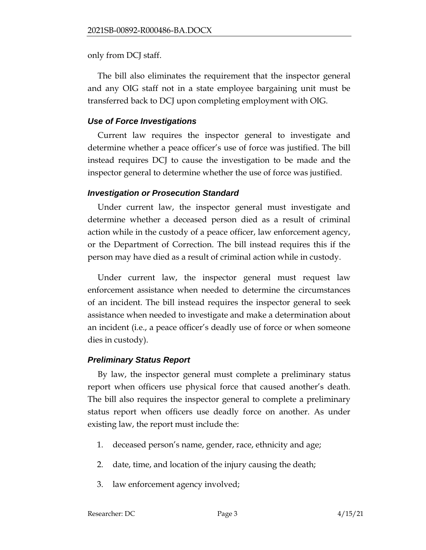only from DCJ staff.

The bill also eliminates the requirement that the inspector general and any OIG staff not in a state employee bargaining unit must be transferred back to DCJ upon completing employment with OIG.

#### *Use of Force Investigations*

Current law requires the inspector general to investigate and determine whether a peace officer's use of force was justified. The bill instead requires DCJ to cause the investigation to be made and the inspector general to determine whether the use of force was justified.

### *Investigation or Prosecution Standard*

Under current law, the inspector general must investigate and determine whether a deceased person died as a result of criminal action while in the custody of a peace officer, law enforcement agency, or the Department of Correction. The bill instead requires this if the person may have died as a result of criminal action while in custody.

Under current law, the inspector general must request law enforcement assistance when needed to determine the circumstances of an incident. The bill instead requires the inspector general to seek assistance when needed to investigate and make a determination about an incident (i.e., a peace officer's deadly use of force or when someone dies in custody).

### *Preliminary Status Report*

By law, the inspector general must complete a preliminary status report when officers use physical force that caused another's death. The bill also requires the inspector general to complete a preliminary status report when officers use deadly force on another. As under existing law, the report must include the:

- 1. deceased person's name, gender, race, ethnicity and age;
- 2. date, time, and location of the injury causing the death;
- 3. law enforcement agency involved;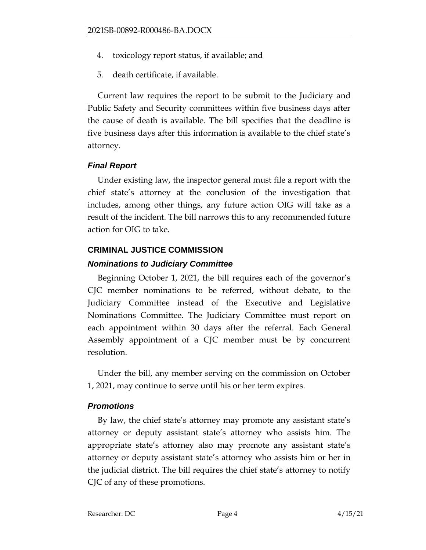- 4. toxicology report status, if available; and
- 5. death certificate, if available.

Current law requires the report to be submit to the Judiciary and Public Safety and Security committees within five business days after the cause of death is available. The bill specifies that the deadline is five business days after this information is available to the chief state's attorney.

### *Final Report*

Under existing law, the inspector general must file a report with the chief state's attorney at the conclusion of the investigation that includes, among other things, any future action OIG will take as a result of the incident. The bill narrows this to any recommended future action for OIG to take.

# **CRIMINAL JUSTICE COMMISSION**

# *Nominations to Judiciary Committee*

Beginning October 1, 2021, the bill requires each of the governor's CJC member nominations to be referred, without debate, to the Judiciary Committee instead of the Executive and Legislative Nominations Committee. The Judiciary Committee must report on each appointment within 30 days after the referral. Each General Assembly appointment of a CJC member must be by concurrent resolution.

Under the bill, any member serving on the commission on October 1, 2021, may continue to serve until his or her term expires.

### *Promotions*

By law, the chief state's attorney may promote any assistant state's attorney or deputy assistant state's attorney who assists him. The appropriate state's attorney also may promote any assistant state's attorney or deputy assistant state's attorney who assists him or her in the judicial district. The bill requires the chief state's attorney to notify CJC of any of these promotions.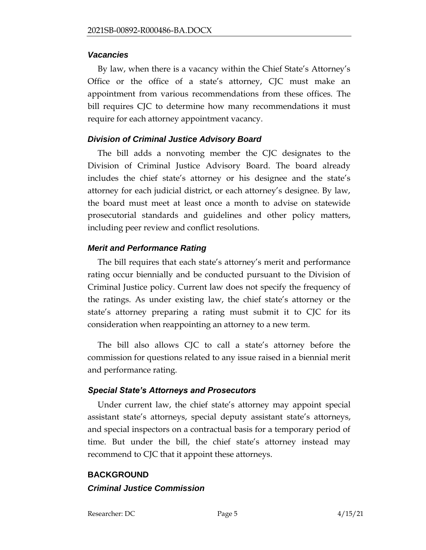#### *Vacancies*

By law, when there is a vacancy within the Chief State's Attorney's Office or the office of a state's attorney, CJC must make an appointment from various recommendations from these offices. The bill requires CJC to determine how many recommendations it must require for each attorney appointment vacancy.

# *Division of Criminal Justice Advisory Board*

The bill adds a nonvoting member the CJC designates to the Division of Criminal Justice Advisory Board. The board already includes the chief state's attorney or his designee and the state's attorney for each judicial district, or each attorney's designee. By law, the board must meet at least once a month to advise on statewide prosecutorial standards and guidelines and other policy matters, including peer review and conflict resolutions.

### *Merit and Performance Rating*

The bill requires that each state's attorney's merit and performance rating occur biennially and be conducted pursuant to the Division of Criminal Justice policy. Current law does not specify the frequency of the ratings. As under existing law, the chief state's attorney or the state's attorney preparing a rating must submit it to CJC for its consideration when reappointing an attorney to a new term.

The bill also allows CJC to call a state's attorney before the commission for questions related to any issue raised in a biennial merit and performance rating.

### *Special State's Attorneys and Prosecutors*

Under current law, the chief state's attorney may appoint special assistant state's attorneys, special deputy assistant state's attorneys, and special inspectors on a contractual basis for a temporary period of time. But under the bill, the chief state's attorney instead may recommend to CJC that it appoint these attorneys.

# **BACKGROUND** *Criminal Justice Commission*

Researcher: DC Page 5 4/15/21